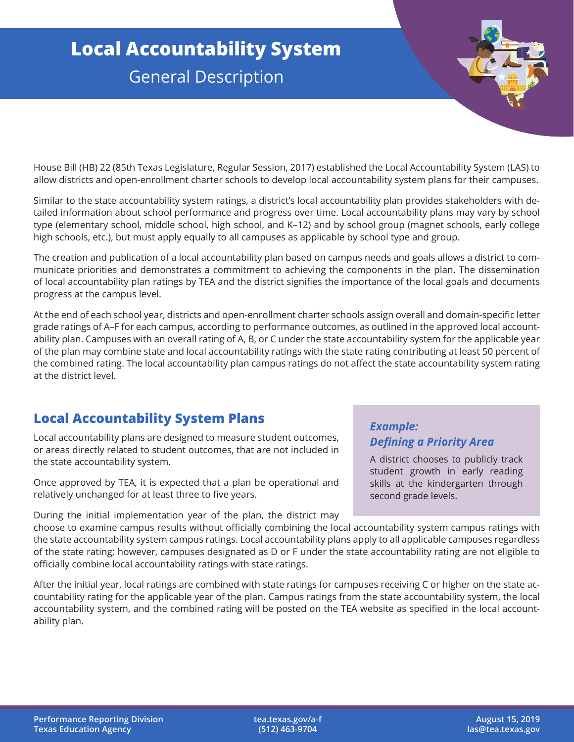# **Local Accountability System** General Description

House Bill (HB) 22 (85th Texas Legislature, Regular Session, 2017) established the Local Accountability System (LAS) to allow districts and open-enrollment charter schools to develop local accountability system plans for their campuses.

Similar to the state accountability system ratings, a district's local accountability plan provides stakeholders with detailed information about school performance and progress over time. Local accountability plans may vary by school type (elementary school, middle school, high school, and K–12) and by school group (magnet schools, early college high schools, etc.), but must apply equally to all campuses as applicable by school type and group.

The creation and publication of a local accountability plan based on campus needs and goals allows a district to communicate priorities and demonstrates a commitment to achieving the components in the plan. The dissemination of local accountability plan ratings by TEA and the district signifies the importance of the local goals and documents progress at the campus level.

At the end of each school year, districts and open-enrollment charter schools assign overall and domain-specific letter grade ratings of A–F for each campus, according to performance outcomes, as outlined in the approved local accountability plan. Campuses with an overall rating of A, B, or C under the state accountability system for the applicable year of the plan may combine state and local accountability ratings with the state rating contributing at least 50 percent of the combined rating. The local accountability plan campus ratings do not affect the state accountability system rating at the district level.

## **Local Accountability System Plans**

Local accountability plans are designed to measure student outcomes, or areas directly related to student outcomes, that are not included in the state accountability system.

Once approved by TEA, it is expected that a plan be operational and relatively unchanged for at least three to five years.

During the initial implementation year of the plan, the district may

#### *Example: Defining a Priority Area*

A district chooses to publicly track student growth in early reading skills at the kindergarten through second grade levels.

choose to examine campus results without officially combining the local accountability system campus ratings with the state accountability system campus ratings. Local accountability plans apply to all applicable campuses regardless of the state rating; however, campuses designated as D or F under the state accountability rating are not eligible to officially combine local accountability ratings with state ratings.

After the initial year, local ratings are combined with state ratings for campuses receiving C or higher on the state accountability rating for the applicable year of the plan. Campus ratings from the state accountability system, the local accountability system, and the combined rating will be posted on the TEA website as specified in the local accountability plan.